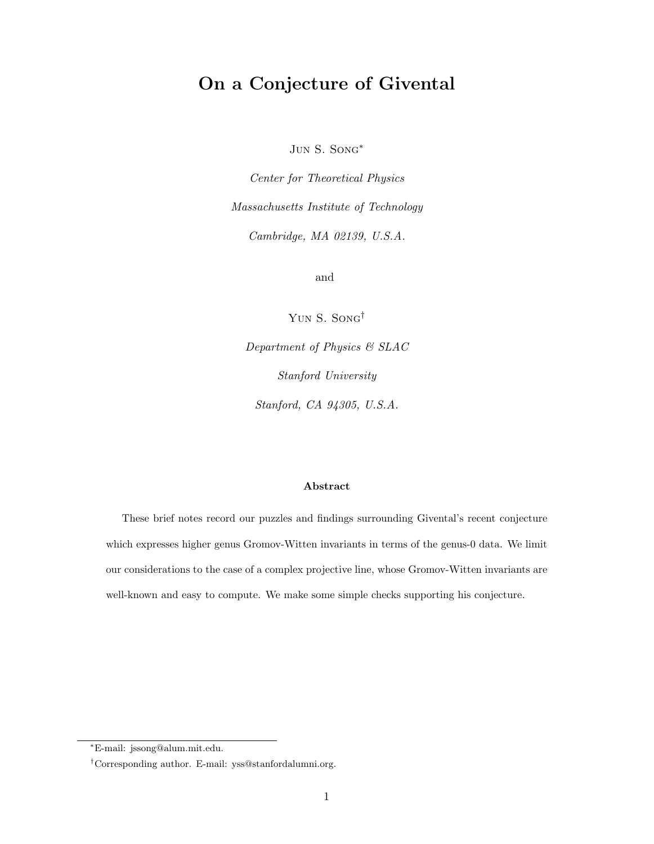# On a Conjecture of Givental

Jun S. Song∗

Center for Theoretical Physics Massachusetts Institute of Technology Cambridge, MA 02139, U.S.A.

and

Yun S. Song†

Department of Physics & SLAC Stanford University Stanford, CA 94305, U.S.A.

#### Abstract

These brief notes record our puzzles and findings surrounding Givental's recent conjecture which expresses higher genus Gromov-Witten invariants in terms of the genus-0 data. We limit our considerations to the case of a complex projective line, whose Gromov-Witten invariants are well-known and easy to compute. We make some simple checks supporting his conjecture.

<sup>∗</sup>E-mail: jssong@alum.mit.edu.

<sup>†</sup>Corresponding author. E-mail: yss@stanfordalumni.org.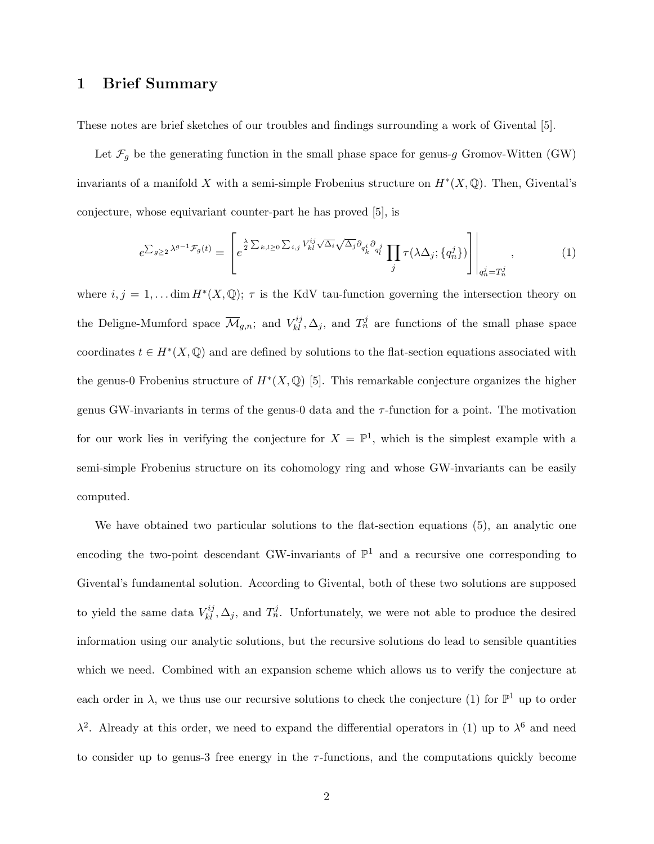# 1 Brief Summary

These notes are brief sketches of our troubles and findings surrounding a work of Givental [5].

Let  $\mathcal{F}_g$  be the generating function in the small phase space for genus-g Gromov-Witten (GW) invariants of a manifold X with a semi-simple Frobenius structure on  $H^*(X, \mathbb{Q})$ . Then, Givental's conjecture, whose equivariant counter-part he has proved [5], is

$$
e^{\sum_{g\geq 2}\lambda^{g-1}\mathcal{F}_g(t)} = \left[e^{\frac{\lambda}{2}\sum_{k,l\geq 0}\sum_{i,j}V_{kl}^{ij}\sqrt{\Delta_i}\sqrt{\Delta_j}\partial_{q_k^i}\partial_{q_l^j}}\prod_j\tau(\lambda\Delta_j;\{q_n^j\})\right]\Big|_{q_n^j = T_n^j},\tag{1}
$$

where  $i, j = 1, \ldots \dim H^*(X, \mathbb{Q})$ ;  $\tau$  is the KdV tau-function governing the intersection theory on the Deligne-Mumford space  $\overline{\mathcal{M}}_{g,n}$ ; and  $V_{kl}^{ij}, \Delta_j$ , and  $T_n^j$  are functions of the small phase space coordinates  $t \in H^*(X, \mathbb{Q})$  and are defined by solutions to the flat-section equations associated with the genus-0 Frobenius structure of  $H^*(X, \mathbb{Q})$  [5]. This remarkable conjecture organizes the higher genus GW-invariants in terms of the genus-0 data and the  $\tau$ -function for a point. The motivation for our work lies in verifying the conjecture for  $X = \mathbb{P}^1$ , which is the simplest example with a semi-simple Frobenius structure on its cohomology ring and whose GW-invariants can be easily computed.

We have obtained two particular solutions to the flat-section equations (5), an analytic one encoding the two-point descendant GW-invariants of  $\mathbb{P}^1$  and a recursive one corresponding to Givental's fundamental solution. According to Givental, both of these two solutions are supposed to yield the same data  $V_{kl}^{ij}, \Delta_j$ , and  $T_n^j$ . Unfortunately, we were not able to produce the desired information using our analytic solutions, but the recursive solutions do lead to sensible quantities which we need. Combined with an expansion scheme which allows us to verify the conjecture at each order in  $\lambda$ , we thus use our recursive solutions to check the conjecture (1) for  $\mathbb{P}^1$  up to order  $\lambda^2$ . Already at this order, we need to expand the differential operators in (1) up to  $\lambda^6$  and need to consider up to genus-3 free energy in the  $\tau$ -functions, and the computations quickly become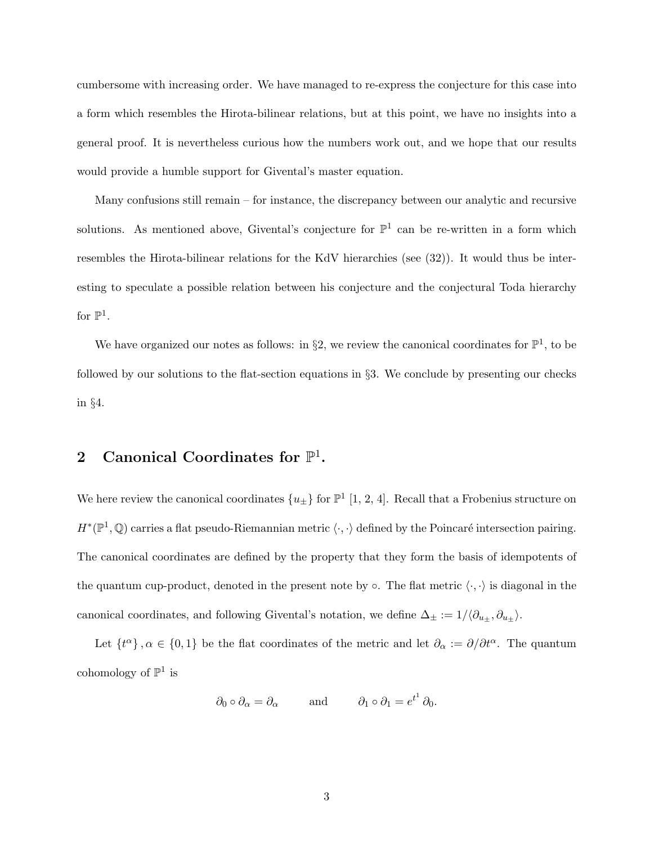cumbersome with increasing order. We have managed to re-express the conjecture for this case into a form which resembles the Hirota-bilinear relations, but at this point, we have no insights into a general proof. It is nevertheless curious how the numbers work out, and we hope that our results would provide a humble support for Givental's master equation.

Many confusions still remain – for instance, the discrepancy between our analytic and recursive solutions. As mentioned above, Givental's conjecture for  $\mathbb{P}^1$  can be re-written in a form which resembles the Hirota-bilinear relations for the KdV hierarchies (see (32)). It would thus be interesting to speculate a possible relation between his conjecture and the conjectural Toda hierarchy for  $\mathbb{P}^1$ .

We have organized our notes as follows: in §2, we review the canonical coordinates for  $\mathbb{P}^1$ , to be followed by our solutions to the flat-section equations in §3. We conclude by presenting our checks in §4.

# 2 Canonical Coordinates for  $\mathbb{P}^1$ .

We here review the canonical coordinates  $\{u_{\pm}\}\$  for  $\mathbb{P}^1$  [1, 2, 4]. Recall that a Frobenius structure on  $H^*(\mathbb{P}^1,\mathbb{Q})$  carries a flat pseudo-Riemannian metric  $\langle \cdot,\cdot \rangle$  defined by the Poincaré intersection pairing. The canonical coordinates are defined by the property that they form the basis of idempotents of the quantum cup-product, denoted in the present note by  $\circ$ . The flat metric  $\langle \cdot, \cdot \rangle$  is diagonal in the canonical coordinates, and following Givental's notation, we define  $\Delta_{\pm} := 1/\langle \partial_{u_{\pm}}, \partial_{u_{\pm}} \rangle$ .

Let  $\{t^{\alpha}\}, \alpha \in \{0,1\}$  be the flat coordinates of the metric and let  $\partial_{\alpha} := \partial/\partial t^{\alpha}$ . The quantum cohomology of  $\mathbb{P}^1$  is

$$
\partial_0 \circ \partial_\alpha = \partial_\alpha
$$
 and  $\partial_1 \circ \partial_1 = e^{t^1} \partial_0$ .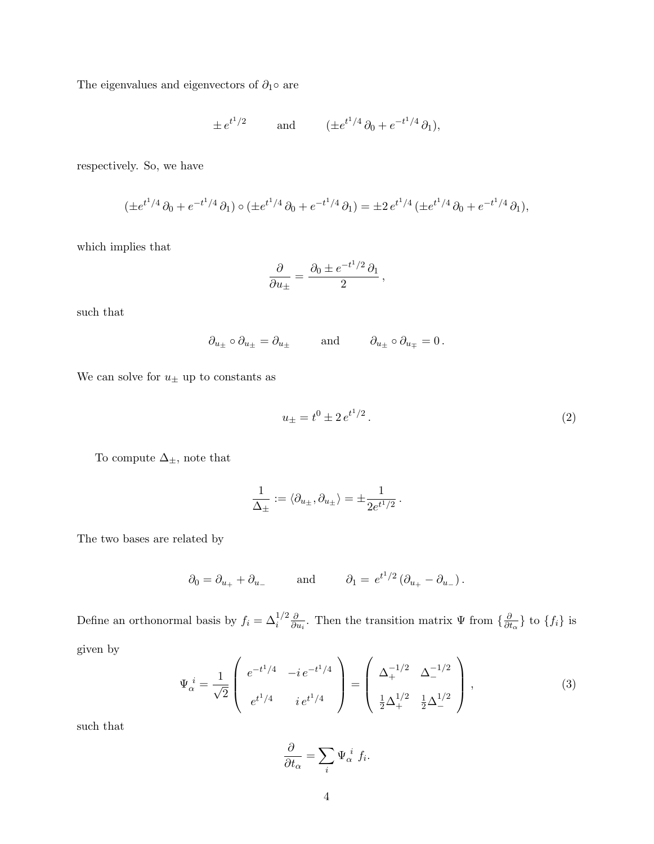The eigenvalues and eigenvectors of  $\partial_1 \circ$  are

$$
\pm e^{t^1/2}
$$
 and  $(\pm e^{t^1/4}\partial_0 + e^{-t^1/4}\partial_1),$ 

respectively. So, we have

$$
(\pm e^{t^1/4}\partial_0 + e^{-t^1/4}\partial_1) \circ (\pm e^{t^1/4}\partial_0 + e^{-t^1/4}\partial_1) = \pm 2 \, e^{t^1/4} \, (\pm e^{t^1/4}\partial_0 + e^{-t^1/4}\partial_1),
$$

which implies that

$$
\frac{\partial}{\partial u_{\pm}} = \frac{\partial_0 \pm e^{-t^1/2} \partial_1}{2} \,,
$$

such that

$$
\partial_{u_\pm} \circ \partial_{u_\pm} = \partial_{u_\pm} \quad \text{and} \quad \partial_{u_\pm} \circ \partial_{u_\mp} = 0 \, .
$$

We can solve for  $u_{\pm}$  up to constants as

$$
u_{\pm} = t^0 \pm 2 e^{t^1/2} \,. \tag{2}
$$

To compute  $\Delta_\pm,$  note that

$$
\frac{1}{\Delta_{\pm}} := \langle \partial_{u_{\pm}}, \partial_{u_{\pm}} \rangle = \pm \frac{1}{2e^{t^1/2}}.
$$

The two bases are related by

$$
\partial_0 = \partial_{u_+} + \partial_{u_-}
$$
 and  $\partial_1 = e^{t^1/2} (\partial_{u_+} - \partial_{u_-}).$ 

Define an orthonormal basis by  $f_i = \Delta_i^{1/2} \frac{\partial}{\partial \theta_i}$  $\frac{\partial}{\partial u_i}$ . Then the transition matrix  $\Psi$  from  $\{\frac{\partial}{\partial u_i}\}$ .  $\frac{\partial}{\partial t_{\alpha}}\}$  to  $\{f_i\}$  is

given by

$$
\Psi_{\alpha}^{i} = \frac{1}{\sqrt{2}} \begin{pmatrix} e^{-t^{1}/4} & -ie^{-t^{1}/4} \\ e^{t^{1}/4} & ie^{t^{1}/4} \end{pmatrix} = \begin{pmatrix} \Delta_{+}^{-1/2} & \Delta_{-}^{-1/2} \\ \frac{1}{2}\Delta_{+}^{1/2} & \frac{1}{2}\Delta_{-}^{1/2} \end{pmatrix},
$$
\n(3)

such that

$$
\frac{\partial}{\partial t_{\alpha}} = \sum_{i} \Psi_{\alpha}^{i} f_{i}.
$$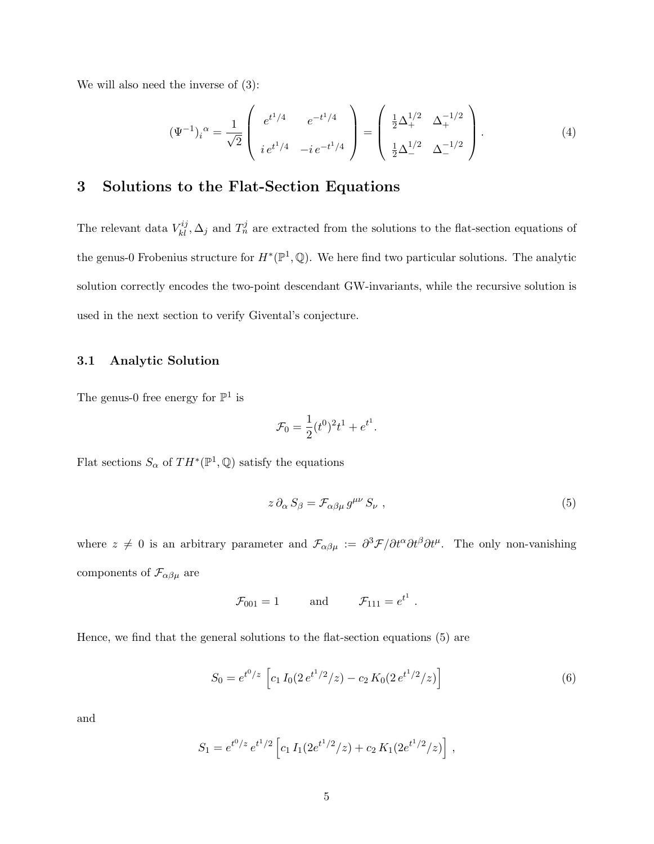We will also need the inverse of (3):

$$
(\Psi^{-1})_i^{\alpha} = \frac{1}{\sqrt{2}} \begin{pmatrix} e^{t^1/4} & e^{-t^1/4} \\ i e^{t^1/4} & -i e^{-t^1/4} \end{pmatrix} = \begin{pmatrix} \frac{1}{2} \Delta_+^{1/2} & \Delta_+^{-1/2} \\ \frac{1}{2} \Delta_-^{1/2} & \Delta_-^{-1/2} \end{pmatrix} . \tag{4}
$$

# 3 Solutions to the Flat-Section Equations

The relevant data  $V_{kl}^{ij}$ ,  $\Delta_j$  and  $T_n^j$  are extracted from the solutions to the flat-section equations of the genus-0 Frobenius structure for  $H^*(\mathbb{P}^1, \mathbb{Q})$ . We here find two particular solutions. The analytic solution correctly encodes the two-point descendant GW-invariants, while the recursive solution is used in the next section to verify Givental's conjecture.

#### 3.1 Analytic Solution

The genus-0 free energy for  $\mathbb{P}^1$  is

$$
\mathcal{F}_0 = \frac{1}{2} (t^0)^2 t^1 + e^{t^1}.
$$

Flat sections  $S_{\alpha}$  of  $TH^*(\mathbb{P}^1, \mathbb{Q})$  satisfy the equations

$$
z \, \partial_{\alpha} \, S_{\beta} = \mathcal{F}_{\alpha\beta\mu} \, g^{\mu\nu} \, S_{\nu} \tag{5}
$$

where  $z \neq 0$  is an arbitrary parameter and  $\mathcal{F}_{\alpha\beta\mu} := \frac{\partial^3 \mathcal{F}}{\partial t^{\alpha} \partial t^{\beta} \partial t^{\mu}}$ . The only non-vanishing components of  $\mathcal{F}_{\alpha\beta\mu}$  are

$$
\mathcal{F}_{001} = 1
$$
 and  $\mathcal{F}_{111} = e^{t^1}$ .

Hence, we find that the general solutions to the flat-section equations (5) are

$$
S_0 = e^{t^0/z} \left[ c_1 I_0 (2 e^{t^1/2}/z) - c_2 K_0 (2 e^{t^1/2}/z) \right]
$$
 (6)

and

$$
S_1 = e^{t^0/z} e^{t^1/2} \left[ c_1 I_1(2e^{t^1/2}/z) + c_2 K_1(2e^{t^1/2}/z) \right],
$$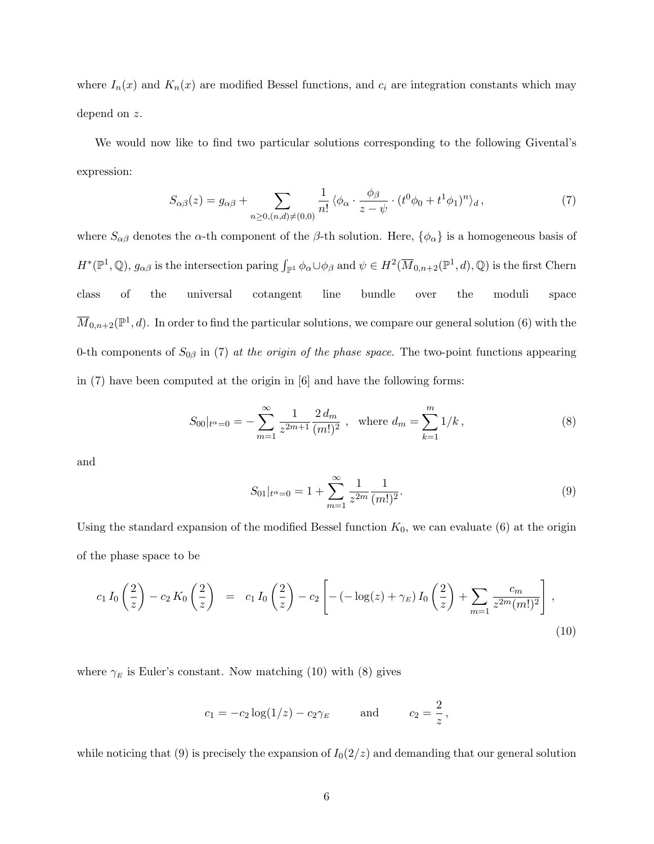where  $I_n(x)$  and  $K_n(x)$  are modified Bessel functions, and  $c_i$  are integration constants which may depend on z.

We would now like to find two particular solutions corresponding to the following Givental's expression:

$$
S_{\alpha\beta}(z) = g_{\alpha\beta} + \sum_{n \ge 0, (n,d) \ne (0,0)} \frac{1}{n!} \langle \phi_{\alpha} \cdot \frac{\phi_{\beta}}{z - \psi} \cdot (t^0 \phi_0 + t^1 \phi_1)^n \rangle_d , \qquad (7)
$$

where  $S_{\alpha\beta}$  denotes the  $\alpha$ -th component of the  $\beta$ -th solution. Here,  $\{\phi_{\alpha}\}\$ is a homogeneous basis of  $H^*(\mathbb{P}^1,\mathbb{Q}), g_{\alpha\beta}$  is the intersection paring  $\int_{\mathbb{P}^1} \phi_\alpha \cup \phi_\beta$  and  $\psi \in H^2(\overline{M}_{0,n+2}(\mathbb{P}^1,d),\mathbb{Q})$  is the first Chern class of the universal cotangent line bundle over the moduli space  $\overline{M}_{0,n+2}(\mathbb{P}^1,d)$ . In order to find the particular solutions, we compare our general solution (6) with the 0-th components of  $S_{0\beta}$  in (7) at the origin of the phase space. The two-point functions appearing in (7) have been computed at the origin in [6] and have the following forms:

$$
S_{00}|_{t^{\alpha}=0} = -\sum_{m=1}^{\infty} \frac{1}{z^{2m+1}} \frac{2 d_m}{(m!)^2} , \text{ where } d_m = \sum_{k=1}^{m} 1/k ,
$$
 (8)

and

$$
S_{01}|_{t^{\alpha}=0} = 1 + \sum_{m=1}^{\infty} \frac{1}{z^{2m}} \frac{1}{(m!)^2}.
$$
 (9)

Using the standard expansion of the modified Bessel function  $K_0$ , we can evaluate (6) at the origin of the phase space to be

$$
c_1 I_0\left(\frac{2}{z}\right) - c_2 K_0\left(\frac{2}{z}\right) = c_1 I_0\left(\frac{2}{z}\right) - c_2 \left[ -(-\log(z) + \gamma_E) I_0\left(\frac{2}{z}\right) + \sum_{m=1}^{\infty} \frac{c_m}{z^{2m}(m!)^2} \right],
$$
\n(10)

where  $\gamma_E$  is Euler's constant. Now matching (10) with (8) gives

$$
c_1 = -c_2 \log(1/z) - c_2 \gamma_E
$$
 and  $c_2 = \frac{2}{z}$ ,

while noticing that (9) is precisely the expansion of  $I_0(2/z)$  and demanding that our general solution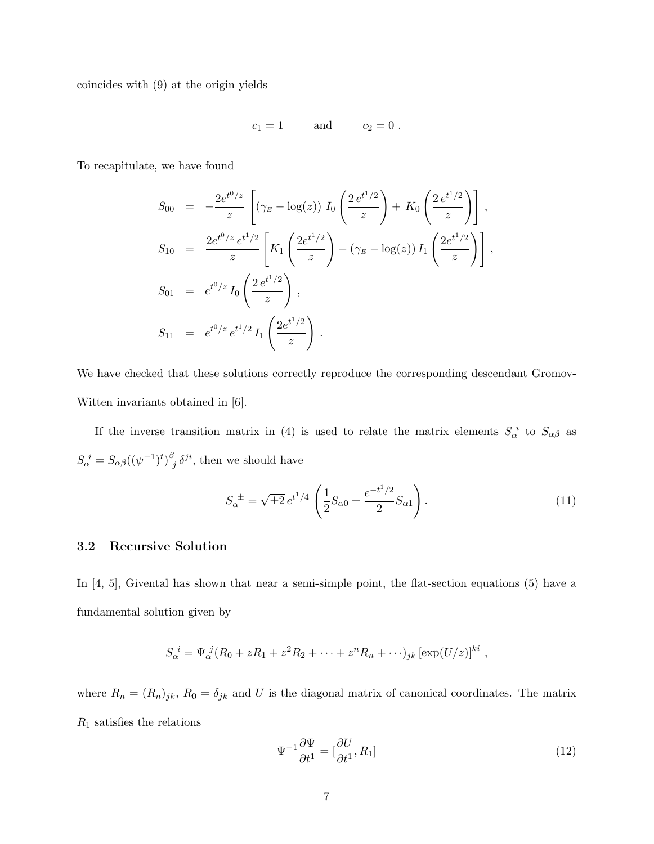coincides with (9) at the origin yields

$$
c_1=1 \qquad \text{and} \qquad c_2=0.
$$

To recapitulate, we have found

$$
S_{00} = -\frac{2e^{t^0/z}}{z} \left[ \left( \gamma_E - \log(z) \right) I_0 \left( \frac{2e^{t^1/2}}{z} \right) + K_0 \left( \frac{2e^{t^1/2}}{z} \right) \right],
$$
  
\n
$$
S_{10} = \frac{2e^{t^0/z} e^{t^1/2}}{z} \left[ K_1 \left( \frac{2e^{t^1/2}}{z} \right) - \left( \gamma_E - \log(z) \right) I_1 \left( \frac{2e^{t^1/2}}{z} \right) \right],
$$
  
\n
$$
S_{01} = e^{t^0/z} I_0 \left( \frac{2e^{t^1/2}}{z} \right),
$$
  
\n
$$
S_{11} = e^{t^0/z} e^{t^1/2} I_1 \left( \frac{2e^{t^1/2}}{z} \right).
$$

We have checked that these solutions correctly reproduce the corresponding descendant Gromov-Witten invariants obtained in [6].

If the inverse transition matrix in (4) is used to relate the matrix elements  $S_{\alpha}^{i}$  to  $S_{\alpha\beta}$  as  $S_{\alpha}^{\ \ i} = S_{\alpha\beta}((\psi^{-1})^t)^{\beta}$  $\delta_j$   $\delta^{ji}$ , then we should have

$$
S_{\alpha}^{\ \pm} = \sqrt{\pm 2} \, e^{t^1/4} \left( \frac{1}{2} S_{\alpha 0} \pm \frac{e^{-t^1/2}}{2} S_{\alpha 1} \right). \tag{11}
$$

#### 3.2 Recursive Solution

In [4, 5], Givental has shown that near a semi-simple point, the flat-section equations (5) have a fundamental solution given by

$$
S_{\alpha}^{i} = \Psi_{\alpha}^{j} (R_0 + zR_1 + z^2 R_2 + \dots + z^n R_n + \dots)_{jk} [\exp(U/z)]^{ki},
$$

where  $R_n = (R_n)_{jk}$ ,  $R_0 = \delta_{jk}$  and U is the diagonal matrix of canonical coordinates. The matrix  $R_1$  satisfies the relations

$$
\Psi^{-1} \frac{\partial \Psi}{\partial t^1} = \left[\frac{\partial U}{\partial t^1}, R_1\right] \tag{12}
$$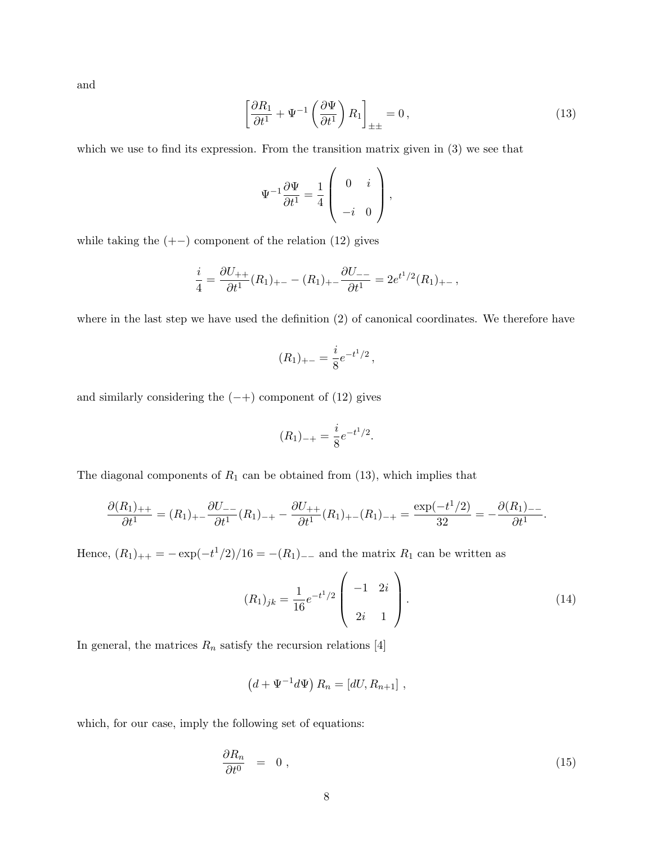and

$$
\left[\frac{\partial R_1}{\partial t^1} + \Psi^{-1} \left(\frac{\partial \Psi}{\partial t^1}\right) R_1\right]_{\pm \pm} = 0, \qquad (13)
$$

which we use to find its expression. From the transition matrix given in  $(3)$  we see that

$$
\Psi^{-1} \frac{\partial \Psi}{\partial t^1} = \frac{1}{4} \left( \begin{array}{cc} 0 & i \\ -i & 0 \end{array} \right),
$$

while taking the  $(+-)$  component of the relation  $(12)$  gives

$$
\frac{i}{4} = \frac{\partial U_{++}}{\partial t^1}(R_1)_{+-} - (R_1)_{+-} \frac{\partial U_{--}}{\partial t^1} = 2e^{t^1/2}(R_1)_{+-},
$$

where in the last step we have used the definition (2) of canonical coordinates. We therefore have

$$
(R_1)_{+-} = \frac{i}{8}e^{-t^1/2},
$$

and similarly considering the  $(-+)$  component of  $(12)$  gives

$$
(R_1)_{-+} = \frac{i}{8}e^{-t^1/2}.
$$

The diagonal components of  $R_1$  can be obtained from (13), which implies that

$$
\frac{\partial (R_1)_{++}}{\partial t^1} = (R_1)_{+-} \frac{\partial U_{--}}{\partial t^1} (R_1)_{-+} - \frac{\partial U_{++}}{\partial t^1} (R_1)_{+-} (R_1)_{-+} = \frac{\exp(-t^1/2)}{32} = -\frac{\partial (R_1)_{--}}{\partial t^1}.
$$

Hence,  $(R_1)_{++} = -\exp(-t^1/2)/16 = -(R_1)_{--}$  and the matrix  $R_1$  can be written as

$$
(R_1)_{jk} = \frac{1}{16} e^{-t^1/2} \begin{pmatrix} -1 & 2i \\ 2i & 1 \end{pmatrix}.
$$
 (14)

In general, the matrices  $R_n$  satisfy the recursion relations [4]

$$
(d+\Psi^{-1}d\Psi) R_n = [dU, R_{n+1}],
$$

which, for our case, imply the following set of equations:

$$
\frac{\partial R_n}{\partial t^0} = 0 \t{,} \t(15)
$$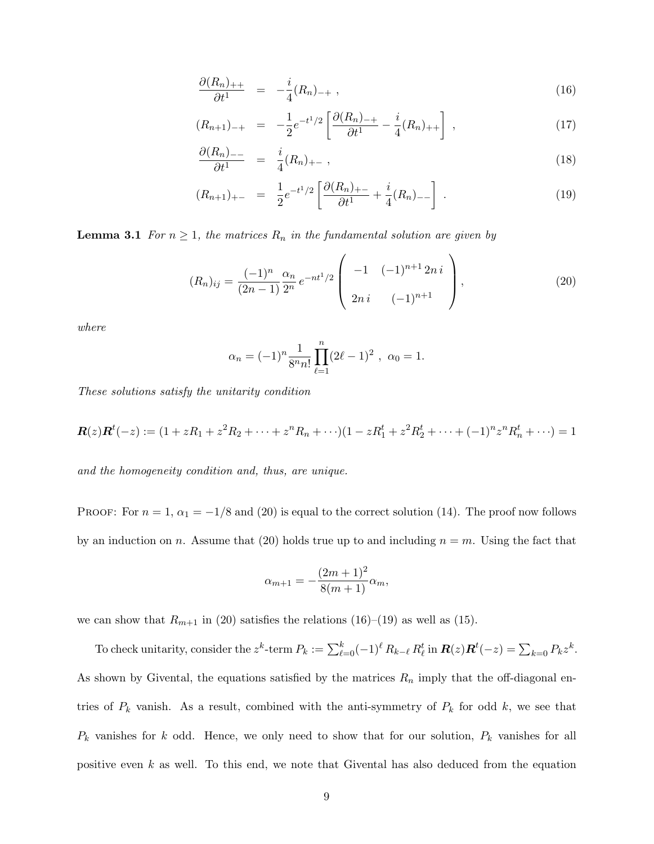$$
\frac{\partial (R_n)_{++}}{\partial t^1} = -\frac{i}{4}(R_n)_{-+} , \qquad (16)
$$

$$
(R_{n+1})_{-+} = -\frac{1}{2}e^{-t^1/2}\left[\frac{\partial (R_n)_{-+}}{\partial t^1} - \frac{i}{4}(R_n)_{++}\right],\tag{17}
$$

$$
\frac{\partial (R_n)_{--}}{\partial t^1} = \frac{i}{4}(R_n)_{+-} , \qquad (18)
$$

$$
(R_{n+1})_{+-} = \frac{1}{2}e^{-t^1/2}\left[\frac{\partial (R_n)_{+-}}{\partial t^1} + \frac{i}{4}(R_n)_{--}\right].
$$
 (19)

**Lemma 3.1** For  $n \geq 1$ , the matrices  $R_n$  in the fundamental solution are given by

$$
(R_n)_{ij} = \frac{(-1)^n}{(2n-1)} \frac{\alpha_n}{2^n} e^{-nt^1/2} \begin{pmatrix} -1 & (-1)^{n+1} 2ni \\ 2ni & (-1)^{n+1} \end{pmatrix},
$$
(20)

where

$$
\alpha_n = (-1)^n \frac{1}{8^n n!} \prod_{\ell=1}^n (2\ell - 1)^2 , \ \alpha_0 = 1.
$$

These solutions satisfy the unitarity condition

$$
\mathbf{R}(z)\mathbf{R}^t(-z) := (1+zR_1+z^2R_2+\cdots+z^nR_n+\cdots)(1-zR_1^t+z^2R_2^t+\cdots+(-1)^nz^nR_n^t+\cdots) = 1
$$

and the homogeneity condition and, thus, are unique.

PROOF: For  $n = 1$ ,  $\alpha_1 = -1/8$  and (20) is equal to the correct solution (14). The proof now follows by an induction on n. Assume that (20) holds true up to and including  $n = m$ . Using the fact that

$$
\alpha_{m+1} = -\frac{(2m+1)^2}{8(m+1)}\alpha_m,
$$

we can show that  $R_{m+1}$  in (20) satisfies the relations (16)–(19) as well as (15).

To check unitarity, consider the  $z^k$ -term  $P_k := \sum_{\ell=0}^k (-1)^\ell R_{k-\ell} R_\ell^t$  in  $\mathbf{R}(z) \mathbf{R}^t(-z) = \sum_{k=0} P_k z^k$ . As shown by Givental, the equations satisfied by the matrices  $R_n$  imply that the off-diagonal entries of  $P_k$  vanish. As a result, combined with the anti-symmetry of  $P_k$  for odd k, we see that  $P_k$  vanishes for k odd. Hence, we only need to show that for our solution,  $P_k$  vanishes for all positive even  $k$  as well. To this end, we note that Givental has also deduced from the equation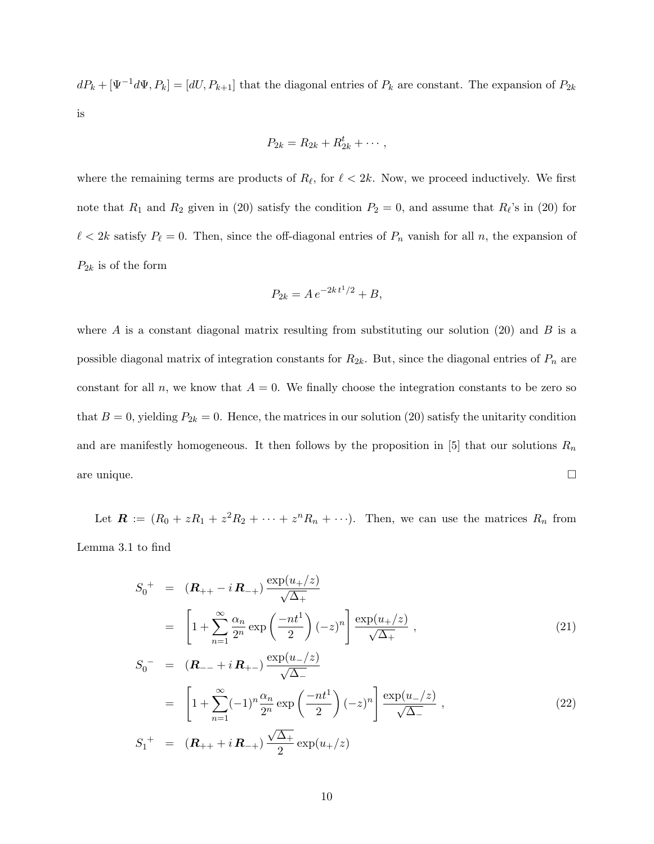$dP_k + [\Psi^{-1}d\Psi, P_k] = [dU, P_{k+1}]$  that the diagonal entries of  $P_k$  are constant. The expansion of  $P_{2k}$ is

$$
P_{2k}=R_{2k}+R_{2k}^t+\cdots,
$$

where the remaining terms are products of  $R_\ell$ , for  $\ell < 2k$ . Now, we proceed inductively. We first note that  $R_1$  and  $R_2$  given in (20) satisfy the condition  $P_2 = 0$ , and assume that  $R_\ell$ 's in (20) for  $\ell < 2k$  satisfy  $P_\ell = 0$ . Then, since the off-diagonal entries of  $P_n$  vanish for all n, the expansion of  $P_{2k}$  is of the form

$$
P_{2k} = A e^{-2k t^1/2} + B,
$$

where A is a constant diagonal matrix resulting from substituting our solution  $(20)$  and B is a possible diagonal matrix of integration constants for  $R_{2k}$ . But, since the diagonal entries of  $P_n$  are constant for all n, we know that  $A = 0$ . We finally choose the integration constants to be zero so that  $B = 0$ , yielding  $P_{2k} = 0$ . Hence, the matrices in our solution (20) satisfy the unitarity condition and are manifestly homogeneous. It then follows by the proposition in [5] that our solutions  $R_n$ are unique.

Let  $\mathbf{R} := (R_0 + zR_1 + z^2R_2 + \cdots + z^nR_n + \cdots).$  Then, we can use the matrices  $R_n$  from Lemma 3.1 to find

$$
S_0^+ = (\mathbf{R}_{++} - i \mathbf{R}_{-+}) \frac{\exp(u_+/z)}{\sqrt{\Delta_+}}
$$
  
=  $\left[1 + \sum_{n=1}^{\infty} \frac{\alpha_n}{2^n} \exp\left(\frac{-nt^1}{2}\right)(-z)^n\right] \frac{\exp(u_+/z)}{\sqrt{\Delta_+}},$   

$$
S_0^- = (\mathbf{R}_{--} + i \mathbf{R}_{+-}) \frac{\exp(u_-/z)}{\sqrt{\Delta_-}} \tag{21}
$$

$$
\sqrt{\Delta_{-}}
$$
\n
$$
= \left[1 + \sum_{n=1}^{\infty} (-1)^{n} \frac{\alpha_{n}}{2^{n}} \exp\left(\frac{-nt^{1}}{2}\right)(-z)^{n}\right] \frac{\exp(u_{-}/z)}{\sqrt{\Delta_{-}}},
$$
\n
$$
S_{1}^{+} = (\mathbf{R}_{++} + i\,\mathbf{R}_{-+}) \frac{\sqrt{\Delta_{+}}}{2} \exp(u_{+}/z)
$$
\n(22)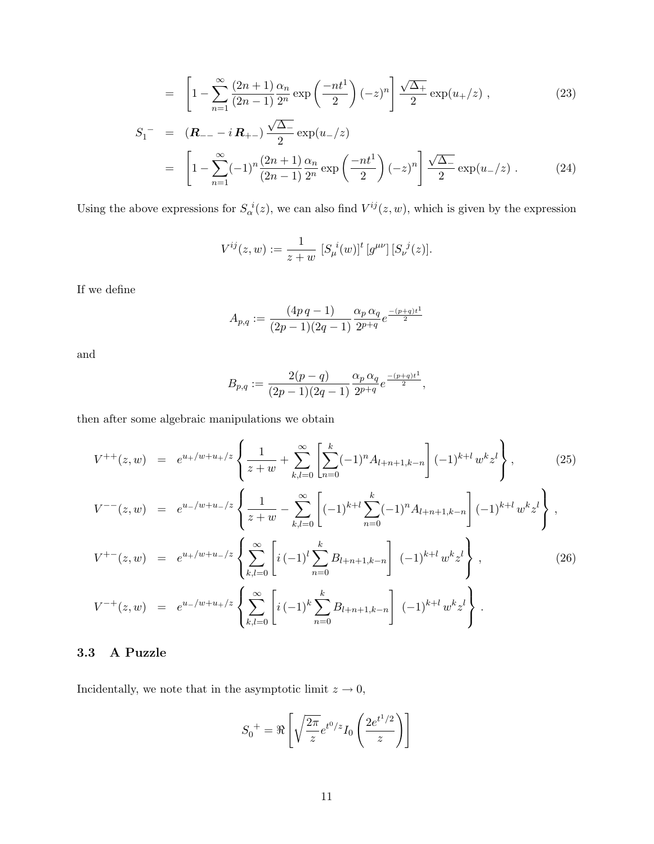$$
= \left[1 - \sum_{n=1}^{\infty} \frac{(2n+1)}{(2n-1)} \frac{\alpha_n}{2^n} \exp\left(\frac{-nt^1}{2}\right)(-z)^n\right] \frac{\sqrt{\Delta_+}}{2} \exp(u_+/z) , \tag{23}
$$

$$
S_1^- = (\mathbf{R}_{--} - i \mathbf{R}_{+-}) \frac{\sqrt{\Delta_{-}}}{2} \exp(u_{-}/z)
$$
  
=  $\left[1 - \sum_{n=1}^{\infty} (-1)^n \frac{(2n+1)}{(2n-1)} \frac{\alpha_n}{2^n} \exp\left(-\frac{nt^1}{2}\right) (-z)^n \right] \frac{\sqrt{\Delta_{-}}}{2} \exp(u_{-}/z)$ . (24)

Using the above expressions for  $S_{\alpha}^{i}(z)$ , we can also find  $V^{ij}(z, w)$ , which is given by the expression

$$
V^{ij}(z, w) := \frac{1}{z + w} \left[ S_{\mu}^{i}(w) \right]^{\dagger} \left[ g^{\mu \nu} \right] \left[ S_{\nu}^{j}(z) \right].
$$

If we define

$$
A_{p,q} := \frac{(4p \, q - 1)}{(2p - 1)(2q - 1)} \frac{\alpha_p \, \alpha_q}{2^{p+q}} e^{\frac{-(p+q)t^1}{2}}
$$

and

$$
B_{p,q} := \frac{2(p-q)}{(2p-1)(2q-1)} \frac{\alpha_p \alpha_q}{2^{p+q}} e^{\frac{-(p+q)t^1}{2}},
$$

then after some algebraic manipulations we obtain

$$
V^{++}(z, w) = e^{u_{+}/w+u_{+}/z} \left\{ \frac{1}{z+w} + \sum_{k,l=0}^{\infty} \left[ \sum_{n=0}^{k} (-1)^{n} A_{l+n+1,k-n} \right] (-1)^{k+l} w^{k} z^{l} \right\},
$$
(25)  
\n
$$
V^{--}(z, w) = e^{u_{-}/w+u_{-}/z} \left\{ \frac{1}{z+w} - \sum_{k,l=0}^{\infty} \left[ (-1)^{k+l} \sum_{n=0}^{k} (-1)^{n} A_{l+n+1,k-n} \right] (-1)^{k+l} w^{k} z^{l} \right\},
$$
  
\n
$$
V^{+-}(z, w) = e^{u_{+}/w+u_{-}/z} \left\{ \sum_{k,l=0}^{\infty} \left[ i (-1)^{l} \sum_{n=0}^{k} B_{l+n+1,k-n} \right] (-1)^{k+l} w^{k} z^{l} \right\},
$$
(26)  
\n
$$
V^{-+}(z, w) = e^{u_{-}/w+u_{+}/z} \left\{ \sum_{k,l=0}^{\infty} \left[ i (-1)^{k} \sum_{n=0}^{k} B_{l+n+1,k-n} \right] (-1)^{k+l} w^{k} z^{l} \right\}.
$$

## 3.3 A Puzzle

Incidentally, we note that in the asymptotic limit  $z\rightarrow 0,$ 

$$
S_0^{\dagger} = \Re \left[ \sqrt{\frac{2\pi}{z}} e^{t^0/z} I_0 \left( \frac{2e^{t^1/2}}{z} \right) \right]
$$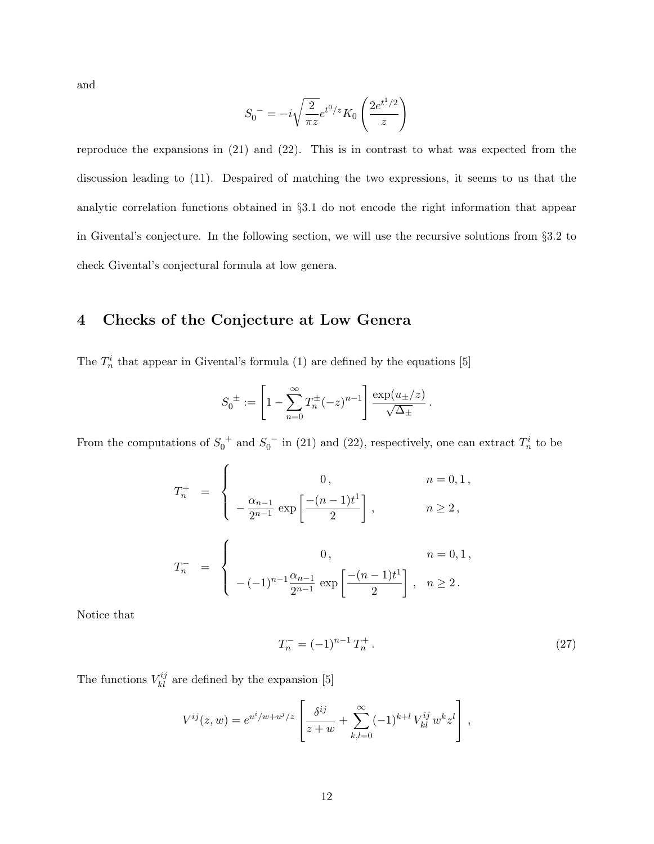and

$$
S_0^- = -i\sqrt{\frac{2}{\pi z}}e^{t^0/z} K_0\left(\frac{2e^{t^1/2}}{z}\right)
$$

reproduce the expansions in (21) and (22). This is in contrast to what was expected from the discussion leading to (11). Despaired of matching the two expressions, it seems to us that the analytic correlation functions obtained in §3.1 do not encode the right information that appear in Givental's conjecture. In the following section, we will use the recursive solutions from §3.2 to check Givental's conjectural formula at low genera.

# 4 Checks of the Conjecture at Low Genera

The  $T_n^i$  that appear in Givental's formula (1) are defined by the equations [5]

$$
S_0^{\pm} := \left[1 - \sum_{n=0}^{\infty} T_n^{\pm} (-z)^{n-1} \right] \frac{\exp(u_{\pm}/z)}{\sqrt{\Delta_{\pm}}}.
$$

From the computations of  $S_0^+$  and  $S_0^-$  in (21) and (22), respectively, one can extract  $T_n^i$  to be

$$
T_n^+ = \begin{cases} 0, & n = 0, 1, \\ -\frac{\alpha_{n-1}}{2^{n-1}} \exp\left[\frac{-(n-1)t^1}{2}\right], & n \ge 2, \end{cases}
$$
  

$$
T_n^- = \begin{cases} 0, & n = 0, 1, \\ -(-1)^{n-1} \frac{\alpha_{n-1}}{2^{n-1}} \exp\left[\frac{-(n-1)t^1}{2}\right], & n \ge 2. \end{cases}
$$

Notice that

$$
T_n^- = (-1)^{n-1} T_n^+ \,. \tag{27}
$$

The functions  $V_{kl}^{ij}$  are defined by the expansion [5]

$$
V^{ij}(z,w) = e^{u^i/w + u^j/z} \left[ \frac{\delta^{ij}}{z+w} + \sum_{k,l=0}^{\infty} (-1)^{k+l} V^{ij}_{kl} w^k z^l \right],
$$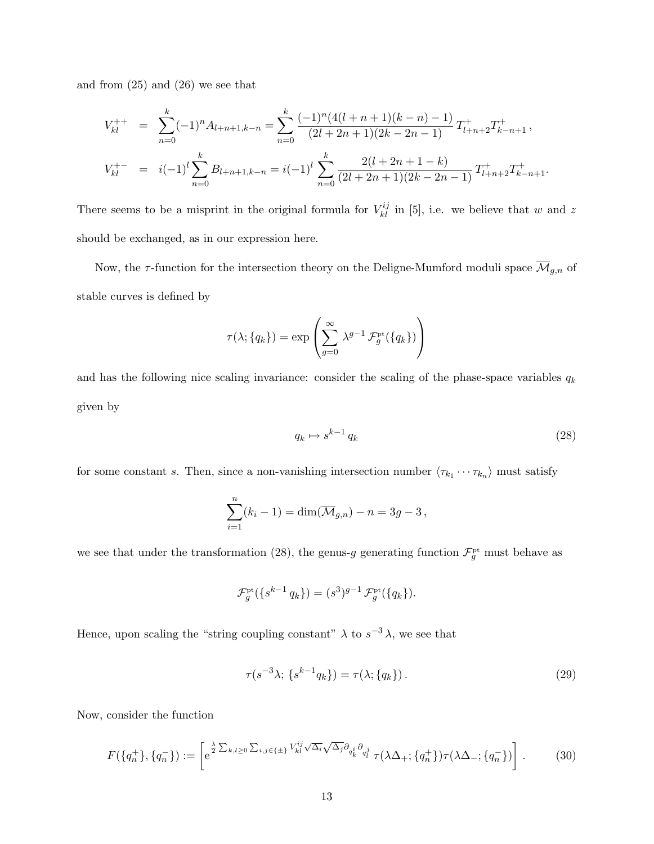and from (25) and (26) we see that

$$
V_{kl}^{++} = \sum_{n=0}^{k} (-1)^n A_{l+n+1,k-n} = \sum_{n=0}^{k} \frac{(-1)^n (4(l+n+1)(k-n) - 1)}{(2l+2n+1)(2k-2n-1)} T_{l+n+2}^+ T_{k-n+1}^+,
$$
  

$$
V_{kl}^{+-} = i(-1)^l \sum_{n=0}^{k} B_{l+n+1,k-n} = i(-1)^l \sum_{n=0}^{k} \frac{2(l+2n+1-k)}{(2l+2n+1)(2k-2n-1)} T_{l+n+2}^+ T_{k-n+1}^+.
$$

There seems to be a misprint in the original formula for  $V_{kl}^{ij}$  in [5], i.e. we believe that w and z should be exchanged, as in our expression here.

Now, the  $\tau$ -function for the intersection theory on the Deligne-Mumford moduli space  $\overline{\mathcal{M}}_{g,n}$  of stable curves is defined by

$$
\tau(\lambda; \{q_k\}) = \exp\left(\sum_{g=0}^{\infty} \lambda^{g-1} \mathcal{F}_g^{\text{pt}}(\{q_k\})\right)
$$

and has the following nice scaling invariance: consider the scaling of the phase-space variables  $q_k$ given by

$$
q_k \mapsto s^{k-1} \, q_k \tag{28}
$$

for some constant s. Then, since a non-vanishing intersection number  $\langle \tau_{k_1} \cdots \tau_{k_n} \rangle$  must satisfy

$$
\sum_{i=1}^{n} (k_i - 1) = \dim(\overline{\mathcal{M}}_{g,n}) - n = 3g - 3,
$$

we see that under the transformation (28), the genus-g generating function  $\mathcal{F}^{\text{pt}}_g$  must behave as

$$
\mathcal{F}_g^{\rm pt}(\{s^{k-1}q_k\}) = (s^3)^{g-1} \mathcal{F}_g^{\rm pt}(\{q_k\}).
$$

Hence, upon scaling the "string coupling constant"  $\lambda$  to  $s^{-3}\lambda$ , we see that

$$
\tau(s^{-3}\lambda; \{s^{k-1}q_k\}) = \tau(\lambda; \{q_k\}).
$$
\n(29)

Now, consider the function

$$
F(\{q_n^+\}, \{q_n^-\}) := \left[ e^{\frac{\lambda}{2} \sum_{k,l\geq 0} \sum_{i,j \in \{\pm\}} V_{kl}^{ij} \sqrt{\Delta_i} \sqrt{\Delta_j} \partial_{q_k^i} \partial_{q_l^j} \tau(\lambda \Delta_+; \{q_n^+\}) \tau(\lambda \Delta_-; \{q_n^-\}) \right].
$$
 (30)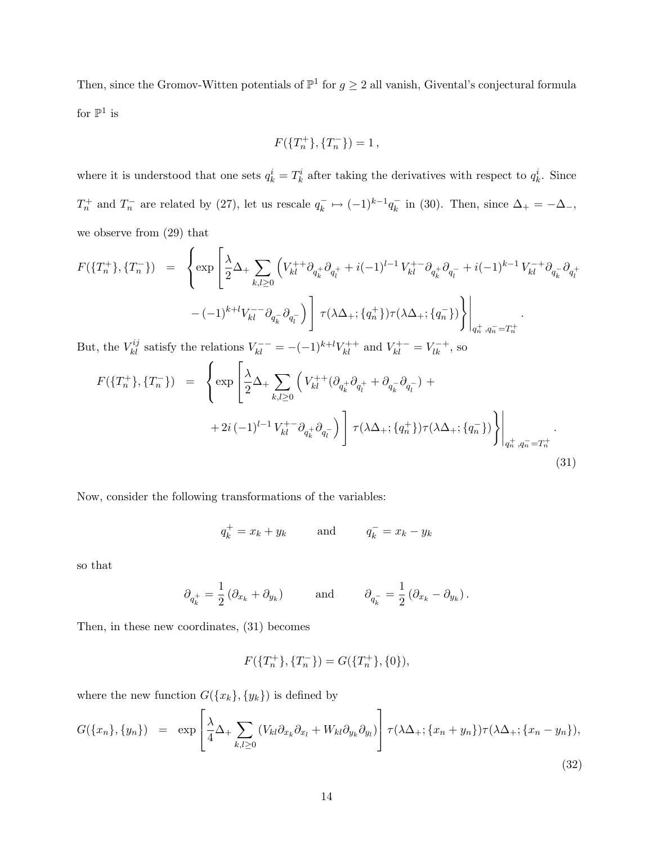Then, since the Gromov-Witten potentials of  $\mathbb{P}^1$  for  $g \geq 2$  all vanish, Givental's conjectural formula for  $\mathbb{P}^1$  is

$$
F(\{T_n^+\}, \{T_n^-\}) = 1\,,
$$

where it is understood that one sets  $q_k^i = T_k^i$  after taking the derivatives with respect to  $q_k^i$ . Since  $T_n^+$  and  $T_n^-$  are related by (27), let us rescale  $q_k^$  $q_k^- \mapsto (-1)^{k-1} q_k^ \bar{k}_{k}$  in (30). Then, since  $\Delta_{+} = -\Delta_{-}$ , we observe from (29) that

$$
F(\lbrace T_{n}^{+}\rbrace, \lbrace T_{n}^{-}\rbrace) = \left\{ \exp \left[ \frac{\lambda}{2} \Delta_{+} \sum_{k,l \geq 0} \left( V_{kl}^{++} \partial_{q_{k}^{+}} \partial_{q_{l}^{+}} + i(-1)^{l-1} V_{kl}^{+-} \partial_{q_{k}^{+}} \partial_{q_{l}^{-}} + i(-1)^{k-1} V_{kl}^{-+} \partial_{q_{k}^{-}} \partial_{q_{l}^{+}} \right) \right. \\ - (-1)^{k+l} V_{kl}^{--} \partial_{q_{k}^{-}} \partial_{q_{l}^{-}} \right) \left] \tau(\lambda \Delta_{+}; \lbrace q_{n}^{+}\rbrace) \tau(\lambda \Delta_{+}; \lbrace q_{n}^{-}\rbrace) \right\} \left|_{q_{n}^{+}, q_{n}^{-}=T_{n}^{+}}.
$$

But, the  $V_{kl}^{ij}$  satisfy the relations  $V_{kl}^{--} = -(-1)^{k+l} V_{kl}^{++}$  and  $V_{kl}^{+-} = V_{lk}^{-+}$ , so

$$
F(\lbrace T_{n}^{+}\rbrace, \lbrace T_{n}^{-}\rbrace) = \left\{ \exp\left[\frac{\lambda}{2}\Delta_{+}\sum_{k,l\geq 0} \left(V_{kl}^{++}(\partial_{q_{k}^{+}}\partial_{q_{l}^{+}} + \partial_{q_{k}^{-}}\partial_{q_{l}^{-}}) + 2i\left(-1\right)^{l-1}V_{kl}^{+-}\partial_{q_{k}^{+}}\partial_{q_{l}^{-}}\right) \right] \tau(\lambda\Delta_{+}; \lbrace q_{n}^{+}\rbrace)\tau(\lambda\Delta_{+}; \lbrace q_{n}^{-}\rbrace) \right\} \Bigg|_{q_{n}^{+}, q_{n}^{-}=T_{n}^{+}}.
$$
\n(31)

Now, consider the following transformations of the variables:

$$
q_k^+ = x_k + y_k \qquad \text{and} \qquad q_k^- = x_k - y_k
$$

so that

$$
\partial_{q_k^+} = \frac{1}{2} \left( \partial_{x_k} + \partial_{y_k} \right) \qquad \text{and} \qquad \partial_{q_k^-} = \frac{1}{2} \left( \partial_{x_k} - \partial_{y_k} \right).
$$

Then, in these new coordinates, (31) becomes

$$
F(\{T_n^+\}, \{T_n^-\}) = G(\{T_n^+\}, \{0\}),
$$

where the new function  $G({x_k},{y_k})$  is defined by

$$
G(\lbrace x_n \rbrace, \lbrace y_n \rbrace) = \exp\left[\frac{\lambda}{4}\Delta_+\sum_{k,l\geq 0} \left(V_{kl}\partial_{x_k}\partial_{x_l} + W_{kl}\partial_{y_k}\partial_{y_l}\right)\right] \tau(\lambda\Delta_+; \lbrace x_n + y_n \rbrace) \tau(\lambda\Delta_+; \lbrace x_n - y_n \rbrace),\tag{32}
$$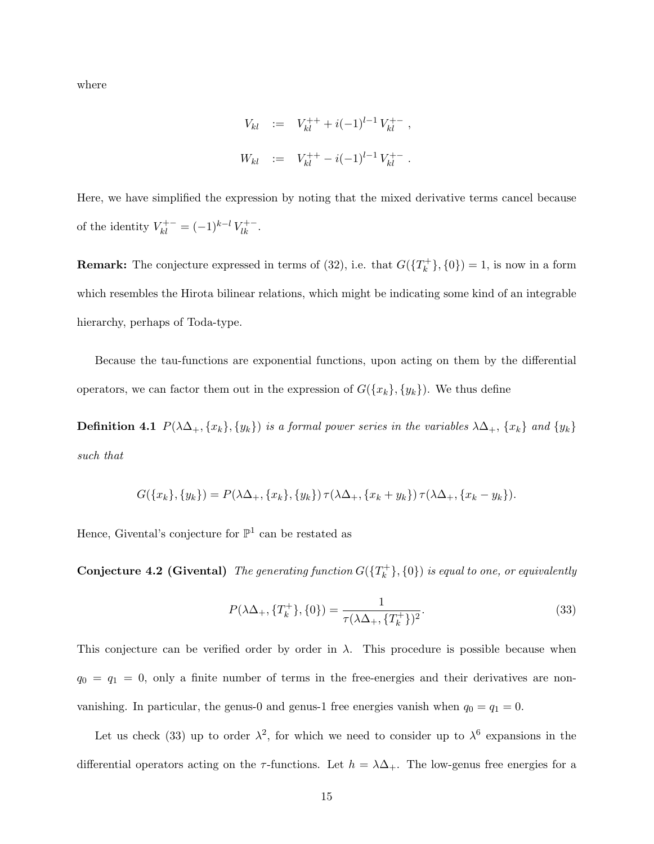where

$$
V_{kl} := V_{kl}^{++} + i(-1)^{l-1} V_{kl}^{+-} ,
$$
  

$$
W_{kl} := V_{kl}^{++} - i(-1)^{l-1} V_{kl}^{+-} .
$$

Here, we have simplified the expression by noting that the mixed derivative terms cancel because of the identity  $V_{kl}^{+-} = (-1)^{k-l} V_{lk}^{+-}$ .

**Remark:** The conjecture expressed in terms of (32), i.e. that  $G({T_k^+})$  $\{^{n+}_{k}\},\{0\})=1$ , is now in a form which resembles the Hirota bilinear relations, which might be indicating some kind of an integrable hierarchy, perhaps of Toda-type.

Because the tau-functions are exponential functions, upon acting on them by the differential operators, we can factor them out in the expression of  $G({x_k},{y_k})$ . We thus define

**Definition 4.1**  $P(\lambda\Delta_+, \{x_k\}, \{y_k\})$  is a formal power series in the variables  $\lambda\Delta_+, \{x_k\}$  and  $\{y_k\}$ such that

$$
G({x_k},{y_k}) = P(\lambda \Delta_+, {x_k},{y_k}) \tau (\lambda \Delta_+, {x_k + y_k}) \tau (\lambda \Delta_+, {x_k - y_k}).
$$

Hence, Givental's conjecture for  $\mathbb{P}^1$  can be restated as

Conjecture 4.2 (Givental) The generating function  $G({T_k^+})$  $\{k_{k}^{+}\},\{0\})$  is equal to one, or equivalently

$$
P(\lambda \Delta_+, \{T_k^+\}, \{0\}) = \frac{1}{\tau(\lambda \Delta_+, \{T_k^+\})^2}.\tag{33}
$$

This conjecture can be verified order by order in  $\lambda$ . This procedure is possible because when  $q_0 = q_1 = 0$ , only a finite number of terms in the free-energies and their derivatives are nonvanishing. In particular, the genus-0 and genus-1 free energies vanish when  $q_0 = q_1 = 0$ .

Let us check (33) up to order  $\lambda^2$ , for which we need to consider up to  $\lambda^6$  expansions in the differential operators acting on the  $\tau$ -functions. Let  $h = \lambda \Delta_{+}$ . The low-genus free energies for a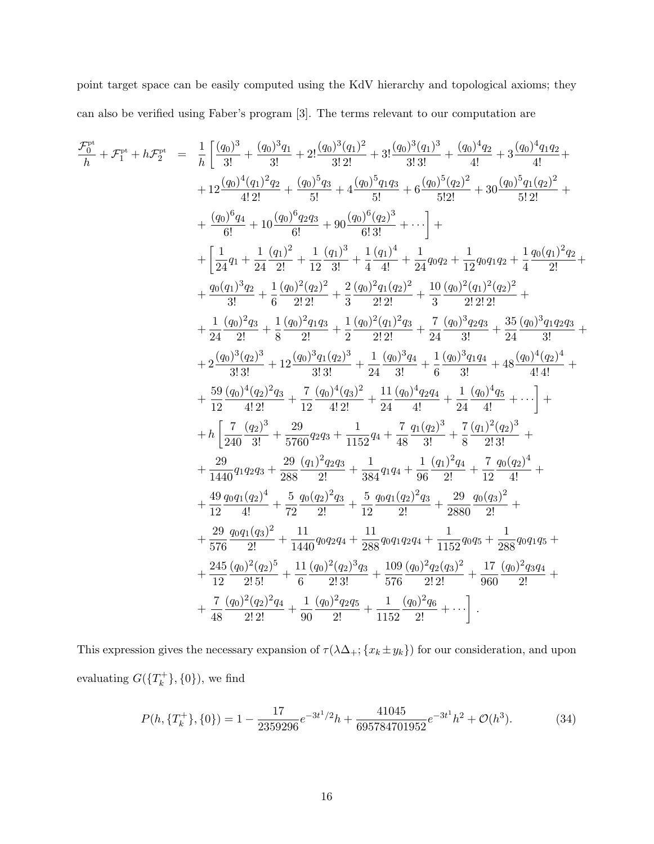point target space can be easily computed using the KdV hierarchy and topological axioms; they can also be verified using Faber's program [3]. The terms relevant to our computation are

$$
\begin{array}{rcl} \mathcal{F}_b^{\text{pt}} + \mathcal{F}_1^{\text{pt}} + h\mathcal{F}_2^{\text{pt}} &=& \frac{1}{h}\left[\frac{(q_0)^3}{3!}+\frac{(q_0)^3q_1}{3!}+2!\frac{(q_0)^3(q_1)^2}{3!2!}+3!\frac{(q_0)^5(q_1)^3}{3!3!}+\frac{(q_0)^4q_2}{4!}+3\frac{(q_0)^5q_1q_2}{4!}+\\&+12\frac{(q_0)^4(q_1)^2q_2}{4!2!}+\frac{(q_0)^5q_3}{5!}+4\frac{(q_0)^5q_{1}q_3}{6!}+6\frac{(q_0)^5(q_2)^2}{5!2!}+30\frac{(q_0)^5q_1(q_2)^2}{5!2!}+\\&+\frac{(q_0)^6q_4}{6!}+10\frac{(q_0)^6q_2q_3}{6!}+90\frac{(q_0)^6(q_2)^3}{6!3!}+\cdots\right]+\\&+\left[\frac{1}{24}q_1+\frac{1}{24}\frac{(q_1)^2}{2!}+\frac{1}{12}\frac{(q_1)^3}{3!}+\frac{1}{4}\frac{(q_1)^4}{4!}+\frac{1}{24}q_0q_2+\frac{1}{12}q_0q_1q_2+\frac{1}{4}\frac{q_0(q_1)^2q_2}{2!}+\\&+\frac{q_0(q_1)^3q_2}{3!}+\frac{1}{6}\frac{(q_0)^2(q_2)^2}{2!2!}+\frac{2}{3}\frac{(q_0)^2q_1(q_2)^2}{2!2!}+\frac{10}{3}\frac{(q_0)^2(q_1)^2(q_2)^2}{2!2!}+\\&+\frac{1}{24}\frac{(q_0)^3q_3}{2!}+\frac{1}{8}\frac{(q_0)^2q_1q_3}{2!}+\frac{1}{2}\frac{(q_0)^3q_1(q_2)^3}{2!2!}+\frac{7}{24}\frac{(q_0)^3q_2q_3}{3!}+\frac{35}{24}\frac{(q_0)^3q_1q_2q_3}{3!}+\\&+2\frac{(q_0)^3(q_2)^3}{3!3!}+12\frac{(q_0)^3q_1(q_2)^3}{3!3!}+\frac{1}{24}\
$$

This expression gives the necessary expansion of  $\tau(\lambda \Delta_{+}; \{x_k \pm y_k\})$  for our consideration, and upon evaluating  $G({T_k^+}$  $\{k^{+}\}, \{0\}\)$ , we find

$$
P(h, \{T_k^+\}, \{0\}) = 1 - \frac{17}{2359296}e^{-3t^1/2}h + \frac{41045}{695784701952}e^{-3t^1}h^2 + \mathcal{O}(h^3). \tag{34}
$$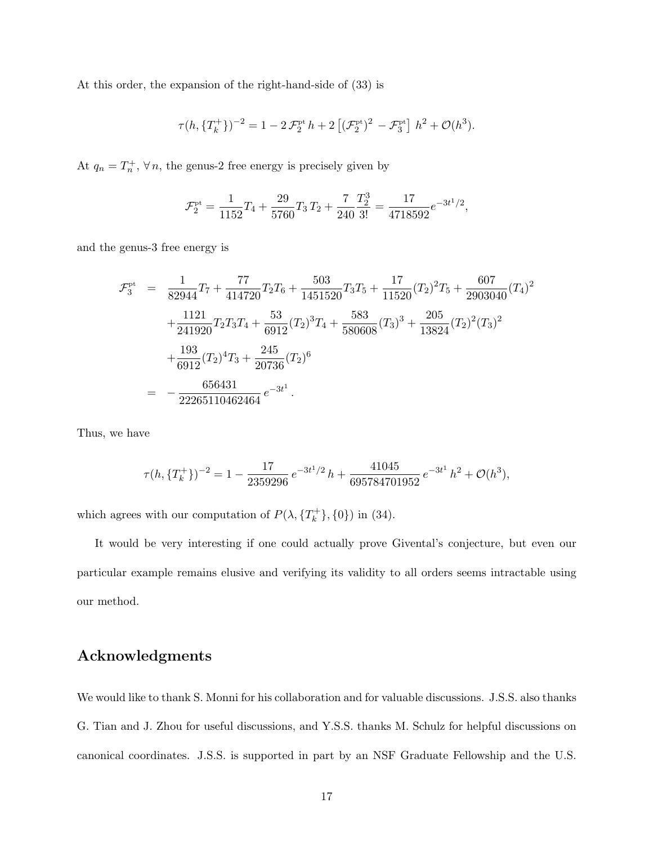At this order, the expansion of the right-hand-side of (33) is

$$
\tau(h, \{T_k^+\})^{-2} = 1 - 2\mathcal{F}_2^{\text{pt}} h + 2 \left[ (\mathcal{F}_2^{\text{pt}})^2 - \mathcal{F}_3^{\text{pt}} \right] h^2 + \mathcal{O}(h^3).
$$

At  $q_n = T_n^+$ ,  $\forall n$ , the genus-2 free energy is precisely given by

$$
\mathcal{F}_2^{\rm pt} = \frac{1}{1152}T_4 + \frac{29}{5760}T_3 T_2 + \frac{7}{240} \frac{T_2^3}{3!} = \frac{17}{4718592}e^{-3t^1/2},
$$

and the genus-3 free energy is

$$
\mathcal{F}_{3}^{\text{pt}} = \frac{1}{82944} T_7 + \frac{77}{414720} T_2 T_6 + \frac{503}{1451520} T_3 T_5 + \frac{17}{11520} (T_2)^2 T_5 + \frac{607}{2903040} (T_4)^2 \n+ \frac{1121}{241920} T_2 T_3 T_4 + \frac{53}{6912} (T_2)^3 T_4 + \frac{583}{580608} (T_3)^3 + \frac{205}{13824} (T_2)^2 (T_3)^2 \n+ \frac{193}{6912} (T_2)^4 T_3 + \frac{245}{20736} (T_2)^6 \n= -\frac{656431}{22265110462464} e^{-3t^1}.
$$

Thus, we have

$$
\tau(h, \{T_k^+\})^{-2} = 1 - \frac{17}{2359296} e^{-3t^1/2} h + \frac{41045}{695784701952} e^{-3t^1} h^2 + \mathcal{O}(h^3),
$$

which agrees with our computation of  $P(\lambda, \{T_k^+\})$  $\{n_k^+\},\{0\})$  in (34).

It would be very interesting if one could actually prove Givental's conjecture, but even our particular example remains elusive and verifying its validity to all orders seems intractable using our method.

## Acknowledgments

We would like to thank S. Monni for his collaboration and for valuable discussions. J.S.S. also thanks G. Tian and J. Zhou for useful discussions, and Y.S.S. thanks M. Schulz for helpful discussions on canonical coordinates. J.S.S. is supported in part by an NSF Graduate Fellowship and the U.S.